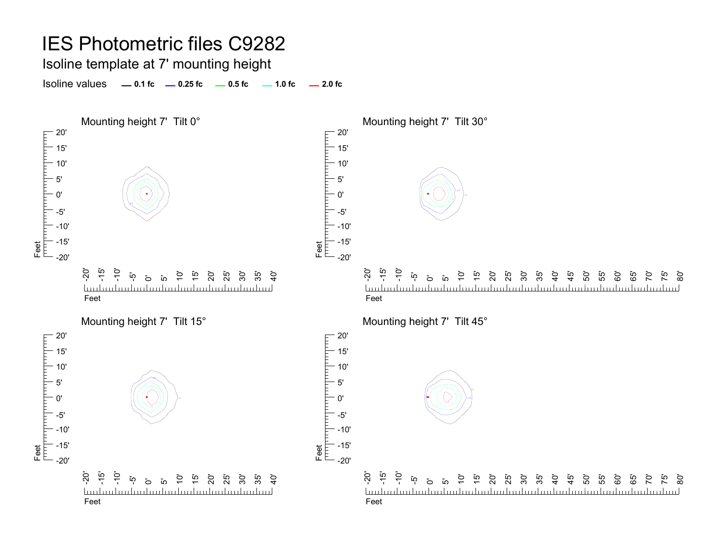Isoline template at 7' mounting height

**0.1 fc 0.25 fc 0.5 fc 2.0 fc**Isoline values $-1.0$  fc  $-2.0$  fc

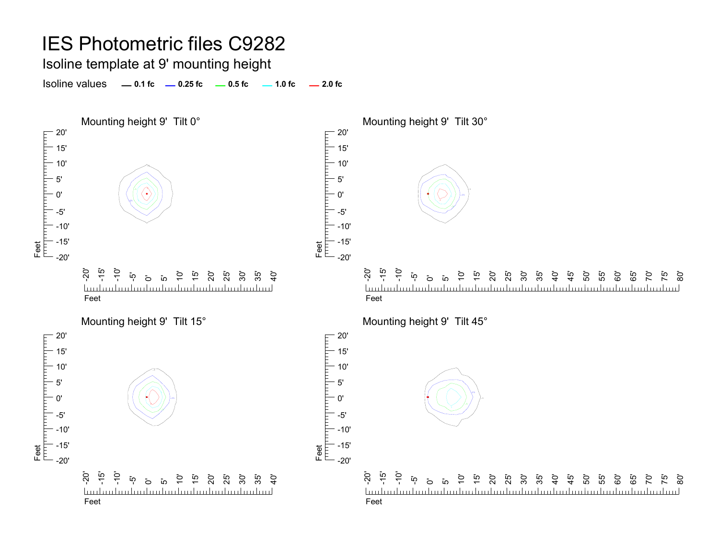Isoline template at 9' mounting height

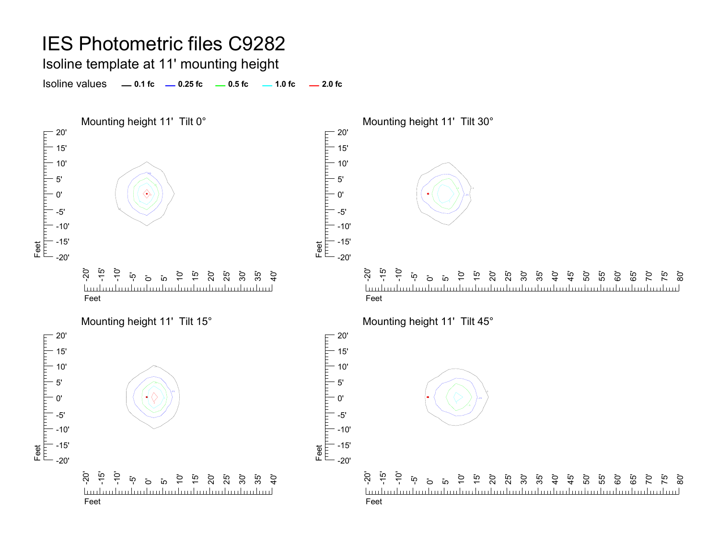Isoline template at 11' mounting height

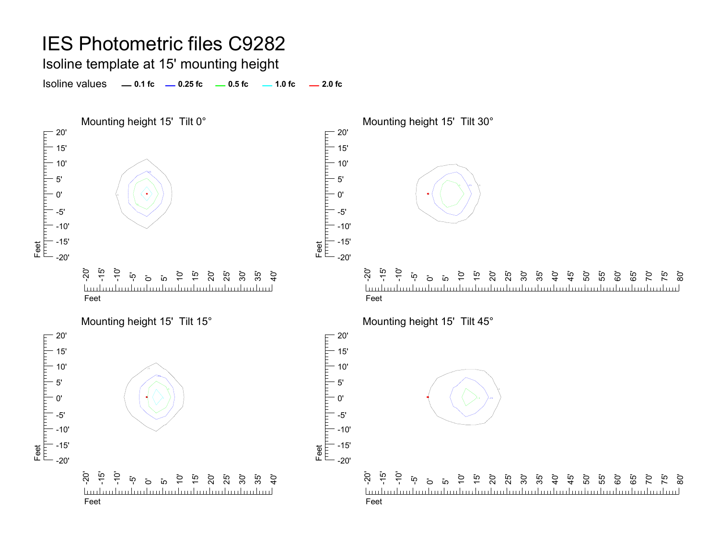Isoline template at 15' mounting height

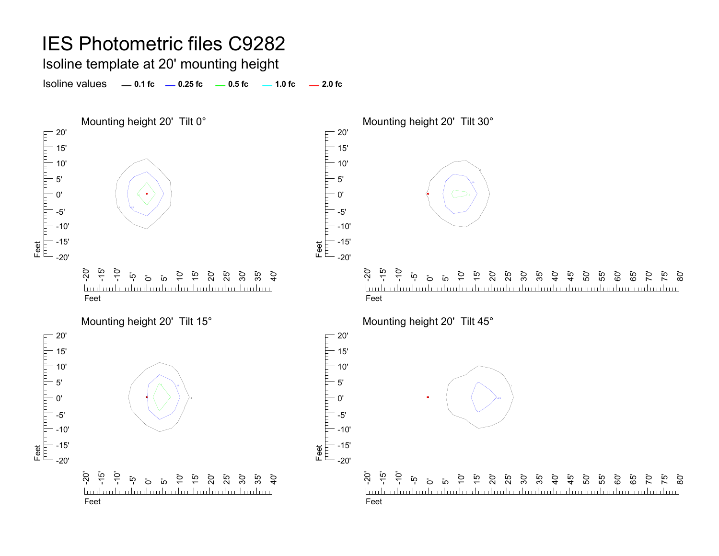Isoline template at 20' mounting height